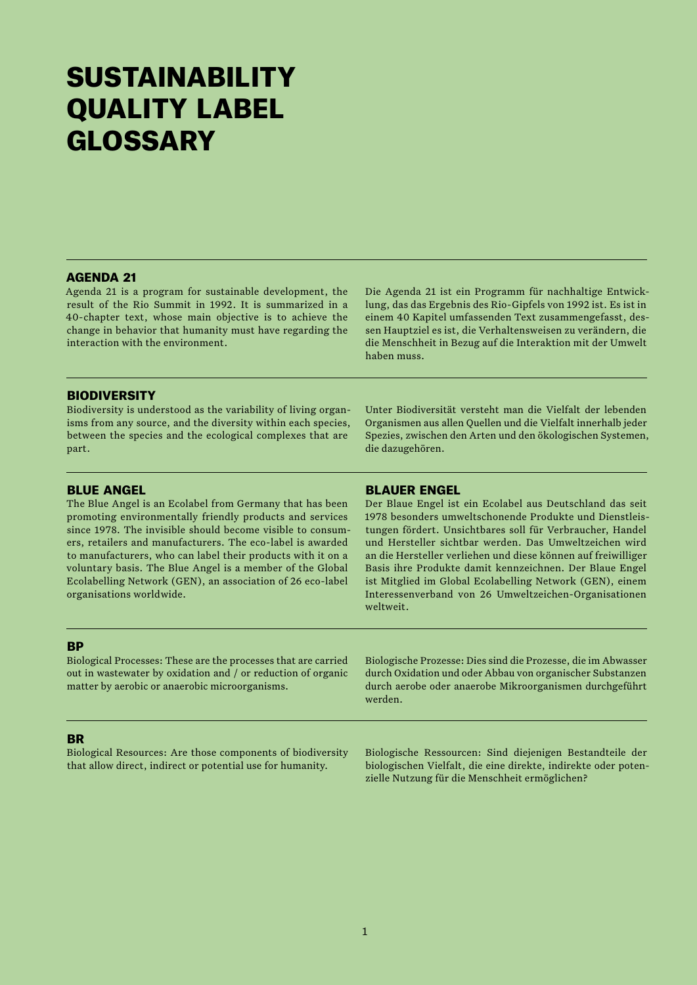# **SUSTAINABILITY** QUALITY LABEL GLOSSARY

# AGENDA 21

Agenda 21 is a program for sustainable development, the result of the Rio Summit in 1992. It is summarized in a 40-chapter text, whose main objective is to achieve the change in behavior that humanity must have regarding the interaction with the environment.

Die Agenda 21 ist ein Programm für nachhaltige Entwicklung, das das Ergebnis des Rio-Gipfels von 1992 ist. Es ist in einem 40 Kapitel umfassenden Text zusammengefasst, dessen Hauptziel es ist, die Verhaltensweisen zu verändern, die die Menschheit in Bezug auf die Interaktion mit der Umwelt haben muss.

# **BIODIVERSITY**

Biodiversity is understood as the variability of living organisms from any source, and the diversity within each species, between the species and the ecological complexes that are part.

Unter Biodiversität versteht man die Vielfalt der lebenden Organismen aus allen Quellen und die Vielfalt innerhalb jeder Spezies, zwischen den Arten und den ökologischen Systemen, die dazugehören.

## BLUE ANGEL

The Blue Angel is an Ecolabel from Germany that has been promoting environmentally friendly products and services since 1978. The invisible should become visible to consumers, retailers and manufacturers. The eco-label is awarded to manufacturers, who can label their products with it on a voluntary basis. The Blue Angel is a member of the Global Ecolabelling Network (GEN), an association of 26 eco-label organisations worldwide.

#### BLAUER ENGEL

Der Blaue Engel ist ein Ecolabel aus Deutschland das seit 1978 besonders umweltschonende Produkte und Dienstleistungen fördert. Unsichtbares soll für Verbraucher, Handel und Hersteller sichtbar werden. Das Umweltzeichen wird an die Hersteller verliehen und diese können auf freiwilliger Basis ihre Produkte damit kennzeichnen. Der Blaue Engel ist Mitglied im Global Ecolabelling Network (GEN), einem Interessenverband von 26 Umweltzeichen-Organisationen weltweit.

# **RP**

Biological Processes: These are the processes that are carried out in wastewater by oxidation and / or reduction of organic matter by aerobic or anaerobic microorganisms.

Biologische Prozesse: Dies sind die Prozesse, die im Abwasser durch Oxidation und oder Abbau von organischer Substanzen durch aerobe oder anaerobe Mikroorganismen durchgeführt werden.

#### BR

Biological Resources: Are those components of biodiversity that allow direct, indirect or potential use for humanity.

Biologische Ressourcen: Sind diejenigen Bestandteile der biologischen Vielfalt, die eine direkte, indirekte oder potenzielle Nutzung für die Menschheit ermöglichen?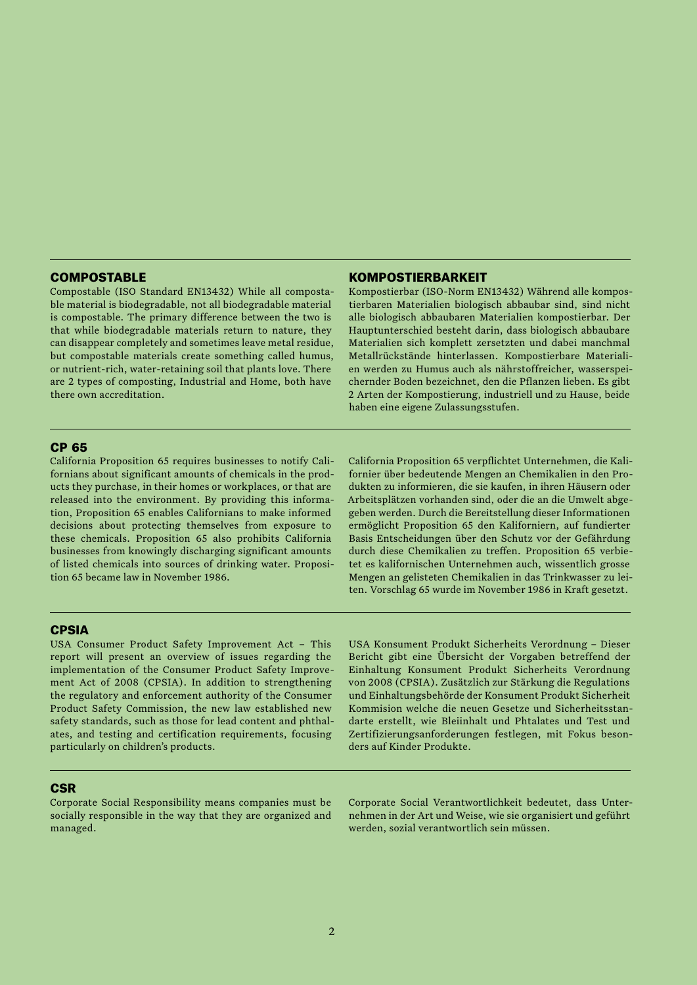# **COMPOSTABLE**

Compostable (ISO Standard EN13432) While all compostable material is biodegradable, not all biodegradable material is compostable. The primary difference between the two is that while biodegradable materials return to nature, they can disappear completely and sometimes leave metal residue, but compostable materials create something called humus, or nutrient-rich, water-retaining soil that plants love. There are 2 types of composting, Industrial and Home, both have there own accreditation.

# KOMPOSTIERBARKEIT

Kompostierbar (ISO-Norm EN13432) Während alle kompostierbaren Materialien biologisch abbaubar sind, sind nicht alle biologisch abbaubaren Materialien kompostierbar. Der Hauptunterschied besteht darin, dass biologisch abbaubare Materialien sich komplett zersetzten und dabei manchmal Metallrückstände hinterlassen. Kompostierbare Materialien werden zu Humus auch als nährstoffreicher, wasserspeichernder Boden bezeichnet, den die Pflanzen lieben. Es gibt 2 Arten der Kompostierung, industriell und zu Hause, beide haben eine eigene Zulassungsstufen.

## CP 65

California Proposition 65 requires businesses to notify Californians about significant amounts of chemicals in the products they purchase, in their homes or workplaces, or that are released into the environment. By providing this information, Proposition 65 enables Californians to make informed decisions about protecting themselves from exposure to these chemicals. Proposition 65 also prohibits California businesses from knowingly discharging significant amounts of listed chemicals into sources of drinking water. Proposition 65 became law in November 1986.

California Proposition 65 verpflichtet Unternehmen, die Kalifornier über bedeutende Mengen an Chemikalien in den Produkten zu informieren, die sie kaufen, in ihren Häusern oder Arbeitsplätzen vorhanden sind, oder die an die Umwelt abgegeben werden. Durch die Bereitstellung dieser Informationen ermöglicht Proposition 65 den Kaliforniern, auf fundierter Basis Entscheidungen über den Schutz vor der Gefährdung durch diese Chemikalien zu treffen. Proposition 65 verbietet es kalifornischen Unternehmen auch, wissentlich grosse Mengen an gelisteten Chemikalien in das Trinkwasser zu leiten. Vorschlag 65 wurde im November 1986 in Kraft gesetzt.

#### CPSIA

USA Consumer Product Safety Improvement Act – This report will present an overview of issues regarding the implementation of the Consumer Product Safety Improvement Act of 2008 (CPSIA). In addition to strengthening the regulatory and enforcement authority of the Consumer Product Safety Commission, the new law established new safety standards, such as those for lead content and phthalates, and testing and certification requirements, focusing particularly on children's products.

USA Konsument Produkt Sicherheits Verordnung – Dieser Bericht gibt eine Übersicht der Vorgaben betreffend der Einhaltung Konsument Produkt Sicherheits Verordnung von 2008 (CPSIA). Zusätzlich zur Stärkung die Regulations und Einhaltungsbehörde der Konsument Produkt Sicherheit Kommision welche die neuen Gesetze und Sicherheitsstandarte erstellt, wie Bleiinhalt und Phtalates und Test und Zertifizierungsanforderungen festlegen, mit Fokus besonders auf Kinder Produkte.

## **CSR**

Corporate Social Responsibility means companies must be socially responsible in the way that they are organized and managed.

Corporate Social Verantwortlichkeit bedeutet, dass Unternehmen in der Art und Weise, wie sie organisiert und geführt werden, sozial verantwortlich sein müssen.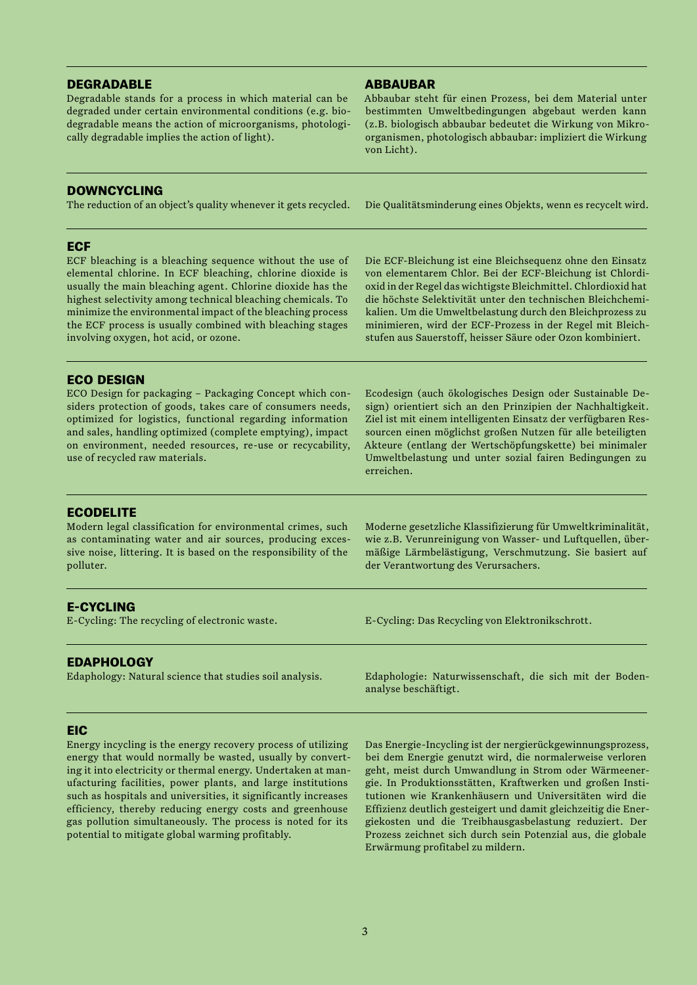# DEGRADABLE

Degradable stands for a process in which material can be degraded under certain environmental conditions (e.g. biodegradable means the action of microorganisms, photologically degradable implies the action of light).

# DOWNCYCLING

The reduction of an object's quality whenever it gets recycled.

# **ECF**

ECF bleaching is a bleaching sequence without the use of elemental chlorine. In ECF bleaching, chlorine dioxide is usually the main bleaching agent. Chlorine dioxide has the highest selectivity among technical bleaching chemicals. To minimize the environmental impact of the bleaching process the ECF process is usually combined with bleaching stages involving oxygen, hot acid, or ozone.

Die ECF-Bleichung ist eine Bleichsequenz ohne den Einsatz von elementarem Chlor. Bei der ECF-Bleichung ist Chlordioxid in der Regel das wichtigste Bleichmittel. Chlordioxid hat die höchste Selektivität unter den technischen Bleichchemikalien. Um die Umweltbelastung durch den Bleichprozess zu minimieren, wird der ECF-Prozess in der Regel mit Bleichstufen aus Sauerstoff, heisser Säure oder Ozon kombiniert.

# ECO DESIGN

ECO Design for packaging – Packaging Concept which considers protection of goods, takes care of consumers needs, optimized for logistics, functional regarding information and sales, handling optimized (complete emptying), impact on environment, needed resources, re-use or recycability, use of recycled raw materials.

Ecodesign (auch ökologisches Design oder Sustainable Design) orientiert sich an den Prinzipien der Nachhaltigkeit. Ziel ist mit einem intelligenten Einsatz der verfügbaren Ressourcen einen möglichst großen Nutzen für alle beteiligten Akteure (entlang der Wertschöpfungskette) bei minimaler Umweltbelastung und unter sozial fairen Bedingungen zu erreichen.

# **ECODELITE**

Modern legal classification for environmental crimes, such as contaminating water and air sources, producing excessive noise, littering. It is based on the responsibility of the polluter.

Moderne gesetzliche Klassifizierung für Umweltkriminalität, wie z.B. Verunreinigung von Wasser- und Luftquellen, übermäßige Lärmbelästigung, Verschmutzung. Sie basiert auf der Verantwortung des Verursachers.

E-Cycling: Das Recycling von Elektronikschrott.

analyse beschäftigt.

# E-CYCLING

E-Cycling: The recycling of electronic waste.

# **EDAPHOLOGY**

Edaphology: Natural science that studies soil analysis.

# **EIC**

Energy incycling is the energy recovery process of utilizing energy that would normally be wasted, usually by converting it into electricity or thermal energy. Undertaken at manufacturing facilities, power plants, and large institutions such as hospitals and universities, it significantly increases efficiency, thereby reducing energy costs and greenhouse gas pollution simultaneously. The process is noted for its potential to mitigate global warming profitably.

Das Energie-Incycling ist der nergierückgewinnungsprozess, bei dem Energie genutzt wird, die normalerweise verloren geht, meist durch Umwandlung in Strom oder Wärmeenergie. In Produktionsstätten, Kraftwerken und großen Institutionen wie Krankenhäusern und Universitäten wird die Effizienz deutlich gesteigert und damit gleichzeitig die Energiekosten und die Treibhausgasbelastung reduziert. Der Prozess zeichnet sich durch sein Potenzial aus, die globale Erwärmung profitabel zu mildern.

Edaphologie: Naturwissenschaft, die sich mit der Boden-

# ABBAUBAR

Abbaubar steht für einen Prozess, bei dem Material unter bestimmten Umweltbedingungen abgebaut werden kann (z.B. biologisch abbaubar bedeutet die Wirkung von Mikroorganismen, photologisch abbaubar: impliziert die Wirkung von Licht).

Die Qualitätsminderung eines Objekts, wenn es recycelt wird.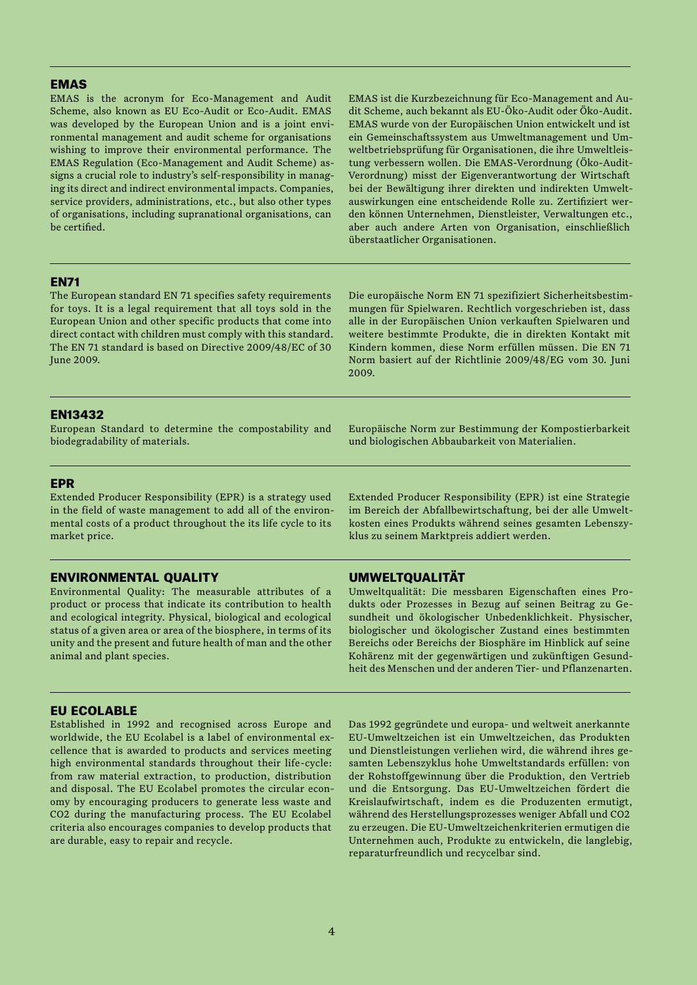## EMAS

EMAS is the acronym for Eco-Management and Audit Scheme, also known as EU Eco-Audit or Eco-Audit. EMAS was developed by the European Union and is a joint environmental management and audit scheme for organisations wishing to improve their environmental performance. The EMAS Regulation (Eco-Management and Audit Scheme) assigns a crucial role to industry's self-responsibility in managing its direct and indirect environmental impacts. Companies, service providers, administrations, etc., but also other types of organisations, including supranational organisations, can be certified.

EMAS ist die Kurzbezeichnung für Eco-Management and Audit Scheme, auch bekannt als EU-Öko-Audit oder Öko-Audit. EMAS wurde von der Europäischen Union entwickelt und ist ein Gemeinschaftssystem aus Umweltmanagement und Umweltbetriebsprüfung für Organisationen, die ihre Umweltleistung verbessern wollen. Die EMAS-Verordnung (Öko-Audit-Verordnung) misst der Eigenverantwortung der Wirtschaft bei der Bewältigung ihrer direkten und indirekten Umweltauswirkungen eine entscheidende Rolle zu. Zertifiziert werden können Unternehmen, Dienstleister, Verwaltungen etc., aber auch andere Arten von Organisation, einschließlich überstaatlicher Organisationen.

## **EN71**

The European standard EN 71 specifies safety requirements for toys. It is a legal requirement that all toys sold in the European Union and other specific products that come into direct contact with children must comply with this standard. The EN 71 standard is based on Directive 2009/48/EC of 30 June 2009.

Die europäische Norm EN 71 spezifiziert Sicherheitsbestimmungen für Spielwaren. Rechtlich vorgeschrieben ist, dass alle in der Europäischen Union verkauften Spielwaren und weitere bestimmte Produkte, die in direkten Kontakt mit Kindern kommen, diese Norm erfüllen müssen. Die EN 71 Norm basiert auf der Richtlinie 2009/48/EG vom 30. Juni 2009.

## EN13432

European Standard to determine the compostability and biodegradability of materials.

Europäische Norm zur Bestimmung der Kompostierbarkeit und biologischen Abbaubarkeit von Materialien.

# EPR

Extended Producer Responsibility (EPR) is a strategy used in the field of waste management to add all of the environmental costs of a product throughout the its life cycle to its market price.

## ENVIRONMENTAL QUALITY

Environmental Quality: The measurable attributes of a product or process that indicate its contribution to health and ecological integrity. Physical, biological and ecological status of a given area or area of the biosphere, in terms of its unity and the present and future health of man and the other animal and plant species.

# EU ECOLABLE

Established in 1992 and recognised across Europe and worldwide, the EU Ecolabel is a label of environmental excellence that is awarded to products and services meeting high environmental standards throughout their life-cycle: from raw material extraction, to production, distribution and disposal. The EU Ecolabel promotes the circular economy by encouraging producers to generate less waste and CO2 during the manufacturing process. The EU Ecolabel criteria also encourages companies to develop products that are durable, easy to repair and recycle.

Extended Producer Responsibility (EPR) ist eine Strategie im Bereich der Abfallbewirtschaftung, bei der alle Umweltkosten eines Produkts während seines gesamten Lebenszyklus zu seinem Marktpreis addiert werden.

## UMWELTQUALITÄT

Umweltqualität: Die messbaren Eigenschaften eines Produkts oder Prozesses in Bezug auf seinen Beitrag zu Gesundheit und ökologischer Unbedenklichkeit. Physischer, biologischer und ökologischer Zustand eines bestimmten Bereichs oder Bereichs der Biosphäre im Hinblick auf seine Kohärenz mit der gegenwärtigen und zukünftigen Gesundheit des Menschen und der anderen Tier- und Pflanzenarten.

Das 1992 gegründete und europa- und weltweit anerkannte EU-Umweltzeichen ist ein Umweltzeichen, das Produkten und Dienstleistungen verliehen wird, die während ihres gesamten Lebenszyklus hohe Umweltstandards erfüllen: von der Rohstoffgewinnung über die Produktion, den Vertrieb und die Entsorgung. Das EU-Umweltzeichen fördert die Kreislaufwirtschaft, indem es die Produzenten ermutigt, während des Herstellungsprozesses weniger Abfall und CO2 zu erzeugen. Die EU-Umweltzeichenkriterien ermutigen die Unternehmen auch, Produkte zu entwickeln, die langlebig, reparaturfreundlich und recycelbar sind.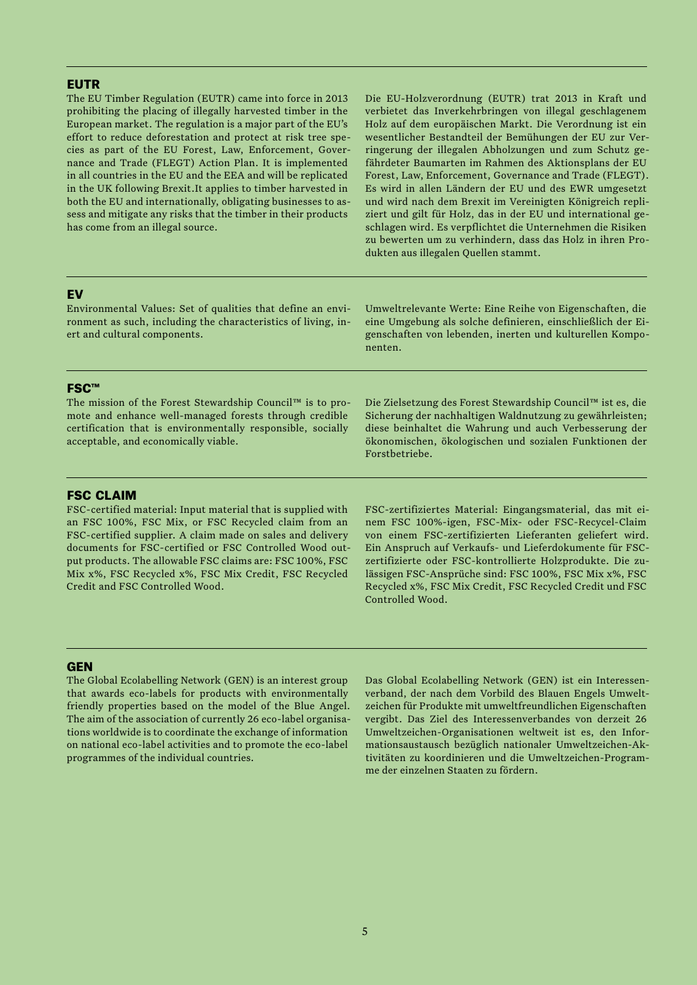## **EUTR**

The EU Timber Regulation (EUTR) came into force in 2013 prohibiting the placing of illegally harvested timber in the European market. The regulation is a major part of the EU's effort to reduce deforestation and protect at risk tree species as part of the EU Forest, Law, Enforcement, Governance and Trade (FLEGT) Action Plan. It is implemented in all countries in the EU and the EEA and will be replicated in the UK following Brexit.It applies to timber harvested in both the EU and internationally, obligating businesses to assess and mitigate any risks that the timber in their products has come from an illegal source.

Die EU-Holzverordnung (EUTR) trat 2013 in Kraft und verbietet das Inverkehrbringen von illegal geschlagenem Holz auf dem europäischen Markt. Die Verordnung ist ein wesentlicher Bestandteil der Bemühungen der EU zur Verringerung der illegalen Abholzungen und zum Schutz gefährdeter Baumarten im Rahmen des Aktionsplans der EU Forest, Law, Enforcement, Governance and Trade (FLEGT). Es wird in allen Ländern der EU und des EWR umgesetzt und wird nach dem Brexit im Vereinigten Königreich repliziert und gilt für Holz, das in der EU und international geschlagen wird. Es verpflichtet die Unternehmen die Risiken zu bewerten um zu verhindern, dass das Holz in ihren Produkten aus illegalen Quellen stammt.

#### EV

Environmental Values: Set of qualities that define an environment as such, including the characteristics of living, inert and cultural components.

Umweltrelevante Werte: Eine Reihe von Eigenschaften, die eine Umgebung als solche definieren, einschließlich der Eigenschaften von lebenden, inerten und kulturellen Komponenten.

#### FSC™

The mission of the Forest Stewardship Council™ is to promote and enhance well-managed forests through credible certification that is environmentally responsible, socially acceptable, and economically viable.

Die Zielsetzung des Forest Stewardship Council™ ist es, die Sicherung der nachhaltigen Waldnutzung zu gewährleisten; diese beinhaltet die Wahrung und auch Verbesserung der ökonomischen, ökologischen und sozialen Funktionen der Forstbetriebe.

## FSC CLAIM

FSC-certified material: Input material that is supplied with an FSC 100%, FSC Mix, or FSC Recycled claim from an FSC-certified supplier. A claim made on sales and delivery documents for FSC-certified or FSC Controlled Wood output products. The allowable FSC claims are: FSC 100%, FSC Mix x%, FSC Recycled x%, FSC Mix Credit, FSC Recycled Credit and FSC Controlled Wood.

FSC-zertifiziertes Material: Eingangsmaterial, das mit einem FSC 100%-igen, FSC-Mix- oder FSC-Recycel-Claim von einem FSC-zertifizierten Lieferanten geliefert wird. Ein Anspruch auf Verkaufs- und Lieferdokumente für FSCzertifizierte oder FSC-kontrollierte Holzprodukte. Die zulässigen FSC-Ansprüche sind: FSC 100%, FSC Mix x%, FSC Recycled x%, FSC Mix Credit, FSC Recycled Credit und FSC Controlled Wood.

#### **GEN**

The Global Ecolabelling Network (GEN) is an interest group that awards eco-labels for products with environmentally friendly properties based on the model of the Blue Angel. The aim of the association of currently 26 eco-label organisations worldwide is to coordinate the exchange of information on national eco-label activities and to promote the eco-label programmes of the individual countries.

Das Global Ecolabelling Network (GEN) ist ein Interessenverband, der nach dem Vorbild des Blauen Engels Umweltzeichen für Produkte mit umweltfreundlichen Eigenschaften vergibt. Das Ziel des Interessenverbandes von derzeit 26 Umweltzeichen-Organisationen weltweit ist es, den Informationsaustausch bezüglich nationaler Umweltzeichen-Aktivitäten zu koordinieren und die Umweltzeichen-Programme der einzelnen Staaten zu fördern.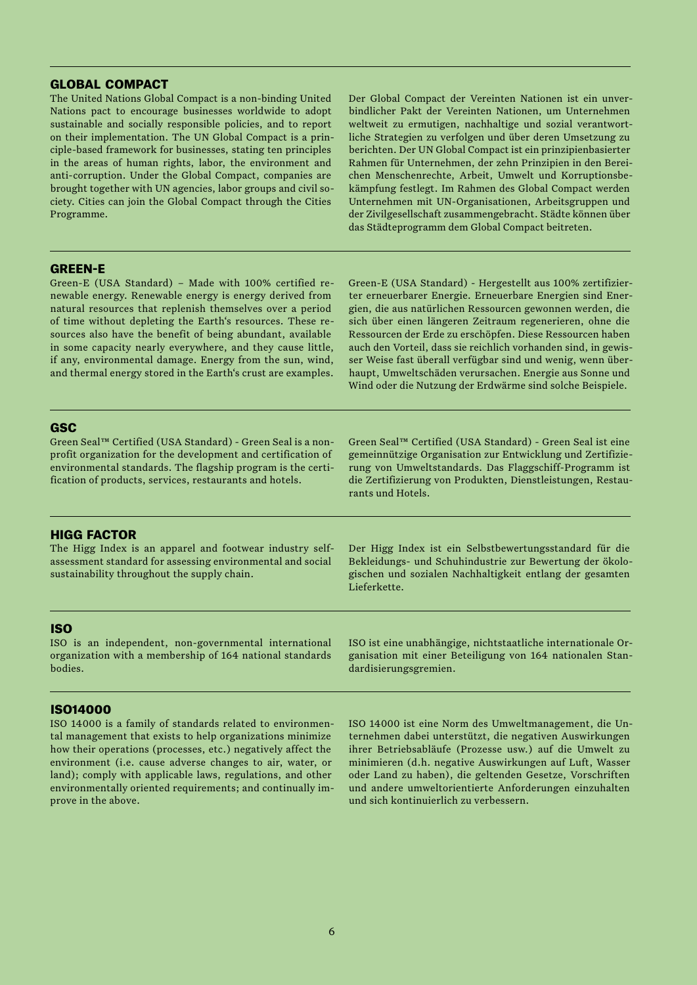# GLOBAL COMPACT

The United Nations Global Compact is a non-binding United Nations pact to encourage businesses worldwide to adopt sustainable and socially responsible policies, and to report on their implementation. The UN Global Compact is a principle-based framework for businesses, stating ten principles in the areas of human rights, labor, the environment and anti-corruption. Under the Global Compact, companies are brought together with UN agencies, labor groups and civil society. Cities can join the Global Compact through the Cities Programme.

Der Global Compact der Vereinten Nationen ist ein unverbindlicher Pakt der Vereinten Nationen, um Unternehmen weltweit zu ermutigen, nachhaltige und sozial verantwortliche Strategien zu verfolgen und über deren Umsetzung zu berichten. Der UN Global Compact ist ein prinzipienbasierter Rahmen für Unternehmen, der zehn Prinzipien in den Bereichen Menschenrechte, Arbeit, Umwelt und Korruptionsbekämpfung festlegt. Im Rahmen des Global Compact werden Unternehmen mit UN-Organisationen, Arbeitsgruppen und der Zivilgesellschaft zusammengebracht. Städte können über das Städteprogramm dem Global Compact beitreten.

## GREEN-E

Green-E (USA Standard) – Made with 100% certified renewable energy. Renewable energy is energy derived from natural resources that replenish themselves over a period of time without depleting the Earth's resources. These resources also have the benefit of being abundant, available in some capacity nearly everywhere, and they cause little, if any, environmental damage. Energy from the sun, wind, and thermal energy stored in the Earth's crust are examples. Green-E (USA Standard) - Hergestellt aus 100% zertifizierter erneuerbarer Energie. Erneuerbare Energien sind Energien, die aus natürlichen Ressourcen gewonnen werden, die sich über einen längeren Zeitraum regenerieren, ohne die Ressourcen der Erde zu erschöpfen. Diese Ressourcen haben auch den Vorteil, dass sie reichlich vorhanden sind, in gewisser Weise fast überall verfügbar sind und wenig, wenn überhaupt, Umweltschäden verursachen. Energie aus Sonne und Wind oder die Nutzung der Erdwärme sind solche Beispiele.

## **GSC**

Green Seal™ Certified (USA Standard) - Green Seal is a nonprofit organization for the development and certification of environmental standards. The flagship program is the certification of products, services, restaurants and hotels.

Green Seal™ Certified (USA Standard) - Green Seal ist eine gemeinnützige Organisation zur Entwicklung und Zertifizierung von Umweltstandards. Das Flaggschiff-Programm ist die Zertifizierung von Produkten, Dienstleistungen, Restaurants und Hotels.

# HIGG FACTOR

The Higg Index is an apparel and footwear industry selfassessment standard for assessing environmental and social sustainability throughout the supply chain.

Der Higg Index ist ein Selbstbewertungsstandard für die Bekleidungs- und Schuhindustrie zur Bewertung der ökologischen und sozialen Nachhaltigkeit entlang der gesamten Lieferkette.

ISO ist eine unabhängige, nichtstaatliche internationale Organisation mit einer Beteiligung von 164 nationalen Stan-

dardisierungsgremien.

# ISO

ISO is an independent, non-governmental international organization with a membership of 164 national standards bodies.

# ISO14000

ISO 14000 is a family of standards related to environmental management that exists to help organizations minimize how their operations (processes, etc.) negatively affect the environment (i.e. cause adverse changes to air, water, or land); comply with applicable laws, regulations, and other environmentally oriented requirements; and continually improve in the above.

ISO 14000 ist eine Norm des Umweltmanagement, die Unternehmen dabei unterstützt, die negativen Auswirkungen ihrer Betriebsabläufe (Prozesse usw.) auf die Umwelt zu minimieren (d.h. negative Auswirkungen auf Luft, Wasser oder Land zu haben), die geltenden Gesetze, Vorschriften

und andere umweltorientierte Anforderungen einzuhalten

und sich kontinuierlich zu verbessern.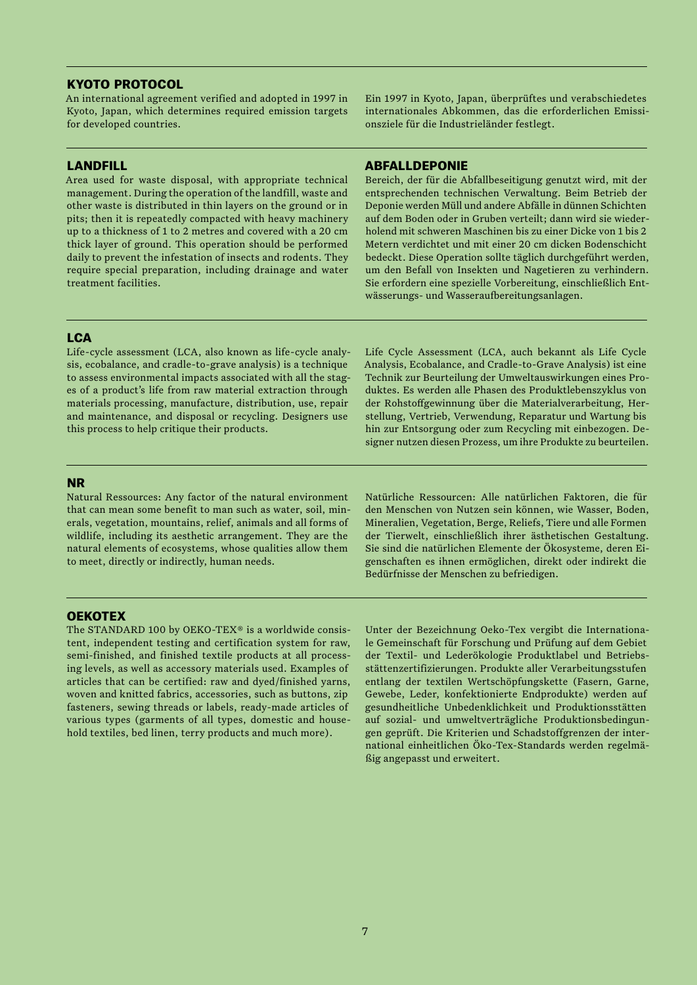# KYOTO PROTOCOL

An international agreement verified and adopted in 1997 in Kyoto, Japan, which determines required emission targets for developed countries.

## LANDFILL

Area used for waste disposal, with appropriate technical management. During the operation of the landfill, waste and other waste is distributed in thin layers on the ground or in pits; then it is repeatedly compacted with heavy machinery up to a thickness of 1 to 2 metres and covered with a 20 cm thick layer of ground. This operation should be performed daily to prevent the infestation of insects and rodents. They require special preparation, including drainage and water treatment facilities.

Ein 1997 in Kyoto, Japan, überprüftes und verabschiedetes internationales Abkommen, das die erforderlichen Emissionsziele für die Industrieländer festlegt.

#### ABFALLDEPONIE

Bereich, der für die Abfallbeseitigung genutzt wird, mit der entsprechenden technischen Verwaltung. Beim Betrieb der Deponie werden Müll und andere Abfälle in dünnen Schichten auf dem Boden oder in Gruben verteilt; dann wird sie wiederholend mit schweren Maschinen bis zu einer Dicke von 1 bis 2 Metern verdichtet und mit einer 20 cm dicken Bodenschicht bedeckt. Diese Operation sollte täglich durchgeführt werden, um den Befall von Insekten und Nagetieren zu verhindern. Sie erfordern eine spezielle Vorbereitung, einschließlich Entwässerungs- und Wasseraufbereitungsanlagen.

## **LCA**

Life-cycle assessment (LCA, also known as life-cycle analysis, ecobalance, and cradle-to-grave analysis) is a technique to assess environmental impacts associated with all the stages of a product's life from raw material extraction through materials processing, manufacture, distribution, use, repair and maintenance, and disposal or recycling. Designers use this process to help critique their products.

Life Cycle Assessment (LCA, auch bekannt als Life Cycle Analysis, Ecobalance, and Cradle-to-Grave Analysis) ist eine Technik zur Beurteilung der Umweltauswirkungen eines Produktes. Es werden alle Phasen des Produktlebenszyklus von der Rohstoffgewinnung über die Materialverarbeitung, Herstellung, Vertrieb, Verwendung, Reparatur und Wartung bis hin zur Entsorgung oder zum Recycling mit einbezogen. Designer nutzen diesen Prozess, um ihre Produkte zu beurteilen.

## NR

Natural Ressources: Any factor of the natural environment that can mean some benefit to man such as water, soil, minerals, vegetation, mountains, relief, animals and all forms of wildlife, including its aesthetic arrangement. They are the natural elements of ecosystems, whose qualities allow them to meet, directly or indirectly, human needs.

Natürliche Ressourcen: Alle natürlichen Faktoren, die für den Menschen von Nutzen sein können, wie Wasser, Boden, Mineralien, Vegetation, Berge, Reliefs, Tiere und alle Formen der Tierwelt, einschließlich ihrer ästhetischen Gestaltung. Sie sind die natürlichen Elemente der Ökosysteme, deren Eigenschaften es ihnen ermöglichen, direkt oder indirekt die Bedürfnisse der Menschen zu befriedigen.

# **OEKOTEX**

The STANDARD 100 by OEKO-TEX® is a worldwide consistent, independent testing and certification system for raw, semi-finished, and finished textile products at all processing levels, as well as accessory materials used. Examples of articles that can be certified: raw and dyed/finished yarns, woven and knitted fabrics, accessories, such as buttons, zip fasteners, sewing threads or labels, ready-made articles of various types (garments of all types, domestic and household textiles, bed linen, terry products and much more).

Unter der Bezeichnung Oeko-Tex vergibt die Internationale Gemeinschaft für Forschung und Prüfung auf dem Gebiet der Textil- und Lederökologie Produktlabel und Betriebsstättenzertifizierungen. Produkte aller Verarbeitungsstufen entlang der textilen Wertschöpfungskette (Fasern, Garne, Gewebe, Leder, konfektionierte Endprodukte) werden auf gesundheitliche Unbedenklichkeit und Produktionsstätten auf sozial- und umweltverträgliche Produktionsbedingungen geprüft. Die Kriterien und Schadstoffgrenzen der international einheitlichen Öko-Tex-Standards werden regelmäßig angepasst und erweitert.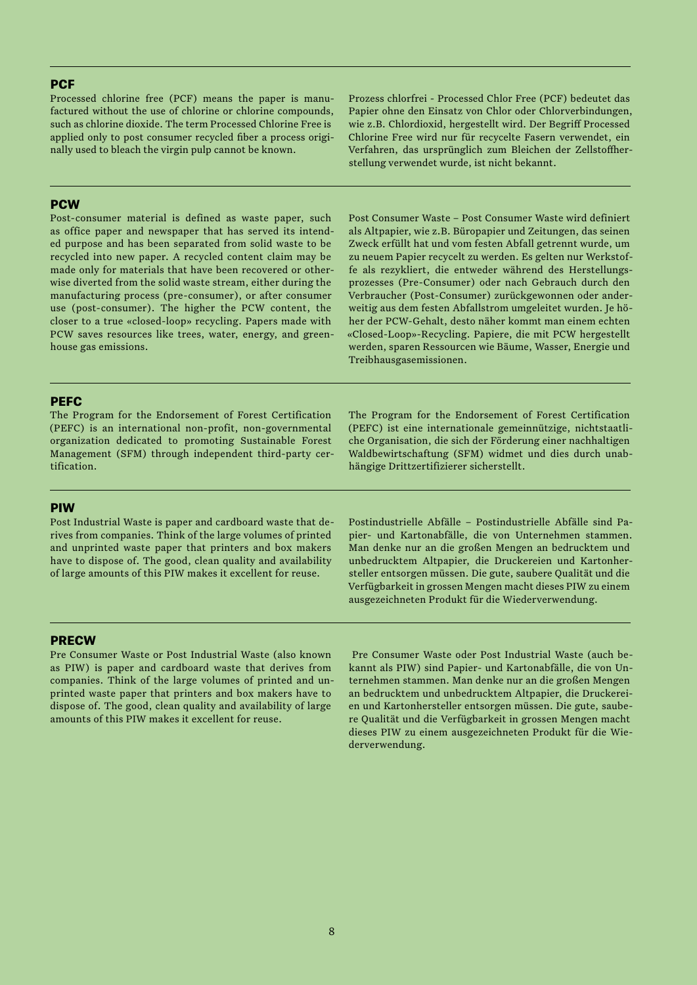# **PCF**

Processed chlorine free (PCF) means the paper is manufactured without the use of chlorine or chlorine compounds, such as chlorine dioxide. The term Processed Chlorine Free is applied only to post consumer recycled fiber a process originally used to bleach the virgin pulp cannot be known.

**PCW** 

Post-consumer material is defined as waste paper, such as office paper and newspaper that has served its intended purpose and has been separated from solid waste to be recycled into new paper. A recycled content claim may be made only for materials that have been recovered or otherwise diverted from the solid waste stream, either during the manufacturing process (pre-consumer), or after consumer use (post-consumer). The higher the PCW content, the closer to a true «closed-loop» recycling. Papers made with PCW saves resources like trees, water, energy, and greenhouse gas emissions.

Prozess chlorfrei - Processed Chlor Free (PCF) bedeutet das Papier ohne den Einsatz von Chlor oder Chlorverbindungen, wie z.B. Chlordioxid, hergestellt wird. Der Begriff Processed Chlorine Free wird nur für recycelte Fasern verwendet, ein Verfahren, das ursprünglich zum Bleichen der Zellstoffherstellung verwendet wurde, ist nicht bekannt.

Post Consumer Waste – Post Consumer Waste wird definiert als Altpapier, wie z.B. Büropapier und Zeitungen, das seinen Zweck erfüllt hat und vom festen Abfall getrennt wurde, um zu neuem Papier recycelt zu werden. Es gelten nur Werkstoffe als rezykliert, die entweder während des Herstellungsprozesses (Pre-Consumer) oder nach Gebrauch durch den Verbraucher (Post-Consumer) zurückgewonnen oder anderweitig aus dem festen Abfallstrom umgeleitet wurden. Je höher der PCW-Gehalt, desto näher kommt man einem echten «Closed-Loop»-Recycling. Papiere, die mit PCW hergestellt werden, sparen Ressourcen wie Bäume, Wasser, Energie und Treibhausgasemissionen.

# **PEFC**

The Program for the Endorsement of Forest Certification (PEFC) is an international non-profit, non-governmental organization dedicated to promoting Sustainable Forest Management (SFM) through independent third-party certification.

The Program for the Endorsement of Forest Certification (PEFC) ist eine internationale gemeinnützige, nichtstaatliche Organisation, die sich der Förderung einer nachhaltigen Waldbewirtschaftung (SFM) widmet und dies durch unabhängige Drittzertifizierer sicherstellt.

#### PIW

Post Industrial Waste is paper and cardboard waste that derives from companies. Think of the large volumes of printed and unprinted waste paper that printers and box makers have to dispose of. The good, clean quality and availability of large amounts of this PIW makes it excellent for reuse.

Postindustrielle Abfälle – Postindustrielle Abfälle sind Papier- und Kartonabfälle, die von Unternehmen stammen. Man denke nur an die großen Mengen an bedrucktem und unbedrucktem Altpapier, die Druckereien und Kartonhersteller entsorgen müssen. Die gute, saubere Qualität und die Verfügbarkeit in grossen Mengen macht dieses PIW zu einem ausgezeichneten Produkt für die Wiederverwendung.

## **PRECW**

Pre Consumer Waste or Post Industrial Waste (also known as PIW) is paper and cardboard waste that derives from companies. Think of the large volumes of printed and unprinted waste paper that printers and box makers have to dispose of. The good, clean quality and availability of large amounts of this PIW makes it excellent for reuse.

 Pre Consumer Waste oder Post Industrial Waste (auch bekannt als PIW) sind Papier- und Kartonabfälle, die von Unternehmen stammen. Man denke nur an die großen Mengen an bedrucktem und unbedrucktem Altpapier, die Druckereien und Kartonhersteller entsorgen müssen. Die gute, saubere Qualität und die Verfügbarkeit in grossen Mengen macht dieses PIW zu einem ausgezeichneten Produkt für die Wiederverwendung.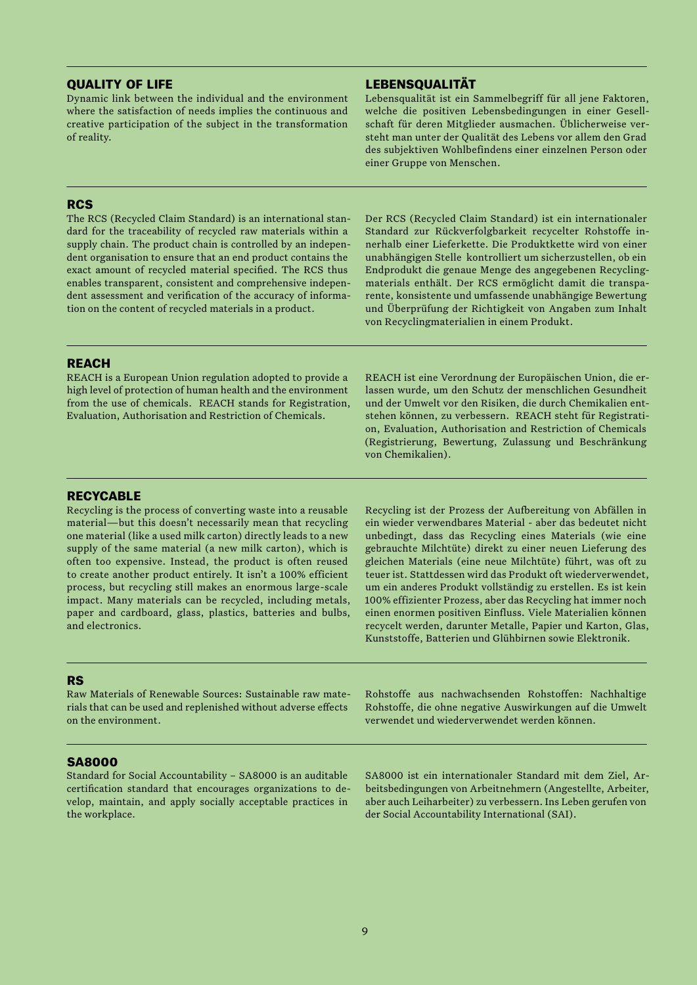## QUALITY OF LIFE

Dynamic link between the individual and the environment where the satisfaction of needs implies the continuous and creative participation of the subject in the transformation of reality.

# LEBENSQUALITÄT

Lebensqualität ist ein Sammelbegriff für all jene Faktoren, welche die positiven Lebensbedingungen in einer Gesellschaft für deren Mitglieder ausmachen. Üblicherweise versteht man unter der Qualität des Lebens vor allem den Grad des subjektiven Wohlbefindens einer einzelnen Person oder einer Gruppe von Menschen.

# **RCS**

The RCS (Recycled Claim Standard) is an international standard for the traceability of recycled raw materials within a supply chain. The product chain is controlled by an independent organisation to ensure that an end product contains the exact amount of recycled material specified. The RCS thus enables transparent, consistent and comprehensive independent assessment and verification of the accuracy of information on the content of recycled materials in a product.

Der RCS (Recycled Claim Standard) ist ein internationaler Standard zur Rückverfolgbarkeit recycelter Rohstoffe innerhalb einer Lieferkette. Die Produktkette wird von einer unabhängigen Stelle kontrolliert um sicherzustellen, ob ein Endprodukt die genaue Menge des angegebenen Recyclingmaterials enthält. Der RCS ermöglicht damit die transparente, konsistente und umfassende unabhängige Bewertung und Überprüfung der Richtigkeit von Angaben zum Inhalt von Recyclingmaterialien in einem Produkt.

## REACH

REACH is a European Union regulation adopted to provide a high level of protection of human health and the environment from the use of chemicals. REACH stands for Registration, Evaluation, Authorisation and Restriction of Chemicals.

REACH ist eine Verordnung der Europäischen Union, die erlassen wurde, um den Schutz der menschlichen Gesundheit und der Umwelt vor den Risiken, die durch Chemikalien entstehen können, zu verbessern. REACH steht für Registration, Evaluation, Authorisation and Restriction of Chemicals (Registrierung, Bewertung, Zulassung und Beschränkung von Chemikalien).

## RECYCABLE

Recycling is the process of converting waste into a reusable material—but this doesn't necessarily mean that recycling one material (like a used milk carton) directly leads to a new supply of the same material (a new milk carton), which is often too expensive. Instead, the product is often reused to create another product entirely. It isn't a 100% efficient process, but recycling still makes an enormous large-scale impact. Many materials can be recycled, including metals, paper and cardboard, glass, plastics, batteries and bulbs, and electronics.

Recycling ist der Prozess der Aufbereitung von Abfällen in ein wieder verwendbares Material - aber das bedeutet nicht unbedingt, dass das Recycling eines Materials (wie eine gebrauchte Milchtüte) direkt zu einer neuen Lieferung des gleichen Materials (eine neue Milchtüte) führt, was oft zu teuer ist. Stattdessen wird das Produkt oft wiederverwendet, um ein anderes Produkt vollständig zu erstellen. Es ist kein 100% effizienter Prozess, aber das Recycling hat immer noch einen enormen positiven Einfluss. Viele Materialien können recycelt werden, darunter Metalle, Papier und Karton, Glas, Kunststoffe, Batterien und Glühbirnen sowie Elektronik.

## RS

Raw Materials of Renewable Sources: Sustainable raw materials that can be used and replenished without adverse effects on the environment.

Rohstoffe aus nachwachsenden Rohstoffen: Nachhaltige Rohstoffe, die ohne negative Auswirkungen auf die Umwelt verwendet und wiederverwendet werden können.

# SA8000

Standard for Social Accountability – SA8000 is an auditable certification standard that encourages organizations to develop, maintain, and apply socially acceptable practices in the workplace.

SA8000 ist ein internationaler Standard mit dem Ziel, Arbeitsbedingungen von Arbeitnehmern (Angestellte, Arbeiter, aber auch Leiharbeiter) zu verbessern. Ins Leben gerufen von der Social Accountability International (SAI).